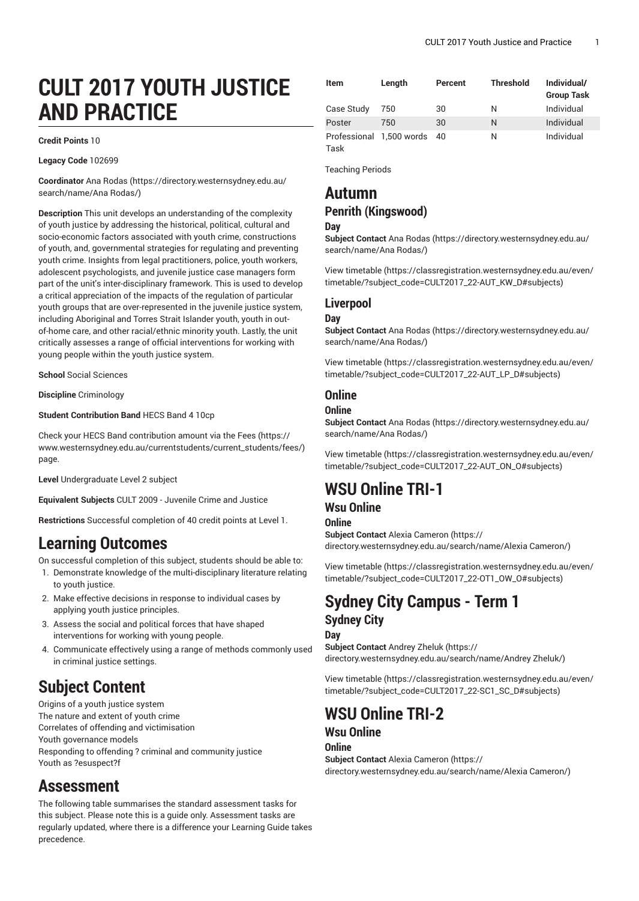# **CULT 2017 YOUTH JUSTICE AND PRACTICE**

#### **Credit Points** 10

**Legacy Code** 102699

**Coordinator** [Ana Rodas \(https://directory.westernsydney.edu.au/](https://directory.westernsydney.edu.au/search/name/Ana Rodas/) [search/name/Ana](https://directory.westernsydney.edu.au/search/name/Ana Rodas/) Rodas/)

**Description** This unit develops an understanding of the complexity of youth justice by addressing the historical, political, cultural and socio-economic factors associated with youth crime, constructions of youth, and, governmental strategies for regulating and preventing youth crime. Insights from legal practitioners, police, youth workers, adolescent psychologists, and juvenile justice case managers form part of the unit's inter-disciplinary framework. This is used to develop a critical appreciation of the impacts of the regulation of particular youth groups that are over-represented in the juvenile justice system, including Aboriginal and Torres Strait Islander youth, youth in outof-home care, and other racial/ethnic minority youth. Lastly, the unit critically assesses a range of official interventions for working with young people within the youth justice system.

**School** Social Sciences

**Discipline** Criminology

**Student Contribution Band** HECS Band 4 10cp

Check your HECS Band contribution amount via the [Fees \(https://](https://www.westernsydney.edu.au/currentstudents/current_students/fees/) [www.westernsydney.edu.au/currentstudents/current\\_students/fees/\)](https://www.westernsydney.edu.au/currentstudents/current_students/fees/) page.

**Level** Undergraduate Level 2 subject

**Equivalent Subjects** CULT 2009 - Juvenile Crime and Justice

**Restrictions** Successful completion of 40 credit points at Level 1.

### **Learning Outcomes**

On successful completion of this subject, students should be able to:

- 1. Demonstrate knowledge of the multi-disciplinary literature relating to youth justice.
- 2. Make effective decisions in response to individual cases by applying youth justice principles.
- 3. Assess the social and political forces that have shaped interventions for working with young people.
- 4. Communicate effectively using a range of methods commonly used in criminal justice settings.

## **Subject Content**

Origins of a youth justice system The nature and extent of youth crime Correlates of offending and victimisation Youth governance models Responding to offending ? criminal and community justice Youth as ?esuspect?f

### **Assessment**

The following table summarises the standard assessment tasks for this subject. Please note this is a guide only. Assessment tasks are regularly updated, where there is a difference your Learning Guide takes precedence.

| <b>Item</b> | Length                   | Percent | <b>Threshold</b> | Individual/<br><b>Group Task</b> |
|-------------|--------------------------|---------|------------------|----------------------------------|
| Case Study  | 750                      | 30      | N                | Individual                       |
| Poster      | 750                      | 30      | N                | Individual                       |
| Task        | Professional 1,500 words | 40      | Ν                | Individual                       |

Teaching Periods

### **Autumn Penrith (Kingswood)**

#### **Day**

**Subject Contact** [Ana Rodas \(https://directory.westernsydney.edu.au/](https://directory.westernsydney.edu.au/search/name/Ana Rodas/) [search/name/Ana](https://directory.westernsydney.edu.au/search/name/Ana Rodas/) Rodas/)

[View timetable](https://classregistration.westernsydney.edu.au/even/timetable/?subject_code=CULT2017_22-AUT_KW_D#subjects) [\(https://classregistration.westernsydney.edu.au/even/](https://classregistration.westernsydney.edu.au/even/timetable/?subject_code=CULT2017_22-AUT_KW_D#subjects) [timetable/?subject\\_code=CULT2017\\_22-AUT\\_KW\\_D#subjects\)](https://classregistration.westernsydney.edu.au/even/timetable/?subject_code=CULT2017_22-AUT_KW_D#subjects)

### **Liverpool**

#### **Day**

**Subject Contact** [Ana Rodas \(https://directory.westernsydney.edu.au/](https://directory.westernsydney.edu.au/search/name/Ana Rodas/) [search/name/Ana](https://directory.westernsydney.edu.au/search/name/Ana Rodas/) Rodas/)

[View timetable](https://classregistration.westernsydney.edu.au/even/timetable/?subject_code=CULT2017_22-AUT_LP_D#subjects) [\(https://classregistration.westernsydney.edu.au/even/](https://classregistration.westernsydney.edu.au/even/timetable/?subject_code=CULT2017_22-AUT_LP_D#subjects) [timetable/?subject\\_code=CULT2017\\_22-AUT\\_LP\\_D#subjects\)](https://classregistration.westernsydney.edu.au/even/timetable/?subject_code=CULT2017_22-AUT_LP_D#subjects)

### **Online**

#### **Online**

**Subject Contact** [Ana Rodas \(https://directory.westernsydney.edu.au/](https://directory.westernsydney.edu.au/search/name/Ana Rodas/) [search/name/Ana](https://directory.westernsydney.edu.au/search/name/Ana Rodas/) Rodas/)

[View timetable](https://classregistration.westernsydney.edu.au/even/timetable/?subject_code=CULT2017_22-AUT_ON_O#subjects) [\(https://classregistration.westernsydney.edu.au/even/](https://classregistration.westernsydney.edu.au/even/timetable/?subject_code=CULT2017_22-AUT_ON_O#subjects) [timetable/?subject\\_code=CULT2017\\_22-AUT\\_ON\\_O#subjects\)](https://classregistration.westernsydney.edu.au/even/timetable/?subject_code=CULT2017_22-AUT_ON_O#subjects)

## **WSU Online TRI-1**

### **Wsu Online**

#### **Online**

**Subject Contact** Alexia [Cameron](https://directory.westernsydney.edu.au/search/name/Alexia Cameron/) ([https://](https://directory.westernsydney.edu.au/search/name/Alexia Cameron/) [directory.westernsydney.edu.au/search/name/Alexia](https://directory.westernsydney.edu.au/search/name/Alexia Cameron/) Cameron/)

[View timetable](https://classregistration.westernsydney.edu.au/even/timetable/?subject_code=CULT2017_22-OT1_OW_O#subjects) [\(https://classregistration.westernsydney.edu.au/even/](https://classregistration.westernsydney.edu.au/even/timetable/?subject_code=CULT2017_22-OT1_OW_O#subjects) [timetable/?subject\\_code=CULT2017\\_22-OT1\\_OW\\_O#subjects](https://classregistration.westernsydney.edu.au/even/timetable/?subject_code=CULT2017_22-OT1_OW_O#subjects))

### **Sydney City Campus - Term 1 Sydney City**

**Day Subject Contact** [Andrey](https://directory.westernsydney.edu.au/search/name/Andrey Zheluk/) Zheluk ([https://](https://directory.westernsydney.edu.au/search/name/Andrey Zheluk/) [directory.westernsydney.edu.au/search/name/Andrey](https://directory.westernsydney.edu.au/search/name/Andrey Zheluk/) Zheluk/)

[View timetable](https://classregistration.westernsydney.edu.au/even/timetable/?subject_code=CULT2017_22-SC1_SC_D#subjects) [\(https://classregistration.westernsydney.edu.au/even/](https://classregistration.westernsydney.edu.au/even/timetable/?subject_code=CULT2017_22-SC1_SC_D#subjects) [timetable/?subject\\_code=CULT2017\\_22-SC1\\_SC\\_D#subjects\)](https://classregistration.westernsydney.edu.au/even/timetable/?subject_code=CULT2017_22-SC1_SC_D#subjects)

## **WSU Online TRI-2**

### **Wsu Online**

#### **Online**

**Subject Contact** Alexia [Cameron](https://directory.westernsydney.edu.au/search/name/Alexia Cameron/) ([https://](https://directory.westernsydney.edu.au/search/name/Alexia Cameron/) [directory.westernsydney.edu.au/search/name/Alexia](https://directory.westernsydney.edu.au/search/name/Alexia Cameron/) Cameron/)